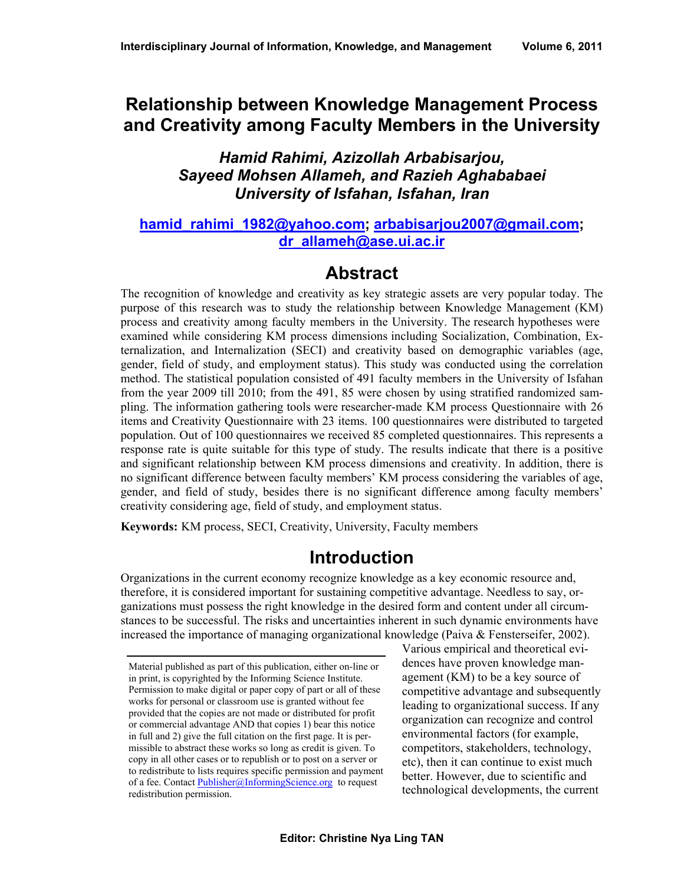### **Relationship between Knowledge Management Process and Creativity among Faculty Members in the University**

#### *Hamid Rahimi, Azizollah Arbabisarjou, Sayeed Mohsen Allameh, and Razieh Aghababaei University of Isfahan, Isfahan, Iran*

#### **[hamid\\_rahimi\\_1982@yahoo.com;](mailto:hamid_rahimi_1982@yahoo.com) [arbabisarjou2007@gmail.com;](mailto:arbabisarjou2007@gmail.com) [dr\\_allameh@ase.ui.ac.ir](mailto:dr_allameh@ase.ui.ac.ir)**

### **Abstract**

The recognition of knowledge and creativity as key strategic assets are very popular today. The purpose of this research was to study the relationship between Knowledge Management (KM) process and creativity among faculty members in the University. The research hypotheses were examined while considering KM process dimensions including Socialization, Combination, Externalization, and Internalization (SECI) and creativity based on demographic variables (age, gender, field of study, and employment status). This study was conducted using the correlation method. The statistical population consisted of 491 faculty members in the University of Isfahan from the year 2009 till 2010; from the 491, 85 were chosen by using stratified randomized sampling. The information gathering tools were researcher-made KM process Questionnaire with 26 items and Creativity Questionnaire with 23 items. 100 questionnaires were distributed to targeted population. Out of 100 questionnaires we received 85 completed questionnaires. This represents a response rate is quite suitable for this type of study. The results indicate that there is a positive and significant relationship between KM process dimensions and creativity. In addition, there is no significant difference between faculty members' KM process considering the variables of age, gender, and field of study, besides there is no significant difference among faculty members' creativity considering age, field of study, and employment status.

**Keywords:** KM process, SECI, Creativity, University, Faculty members

### **Introduction**

Organizations in the current economy recognize knowledge as a key economic resource and, therefore, it is considered important for sustaining competitive advantage. Needless to say, organizations must possess the right knowledge in the desired form and content under all circumstances to be successful. The risks and uncertainties inherent in such dynamic environments have increased the importance of managing organizational knowledge [\(Paiva & Fensterseifer, 2002\)](http://www.emeraldinsight.com/journals.htm?issn=0263-5577&volume=106&issue=7&articleid=1567140&show=html#idb46#idb46).

Various empirical and theoretical evidences have proven knowledge management (KM) to be a key source of competitive advantage and subsequently leading to organizational success. If any organization can recognize and control environmental factors (for example, competitors, stakeholders, technology, etc), then it can continue to exist much better. However, due to scientific and technological developments, the current

Material published as part of this publication, either on-line or in print, is copyrighted by the Informing Science Institute. Permission to make digital or paper copy of part or all of these works for personal or classroom use is granted without fee provided that the copies are not made or distributed for profit or commercial advantage AND that copies 1) bear this notice in full and 2) give the full citation on the first page. It is permissible to abstract these works so long as credit is given. To copy in all other cases or to republish or to post on a server or to redistribute to lists requires specific permission and payment of a fee. Contact Publisher@InformingScience.org to request redistribution permission.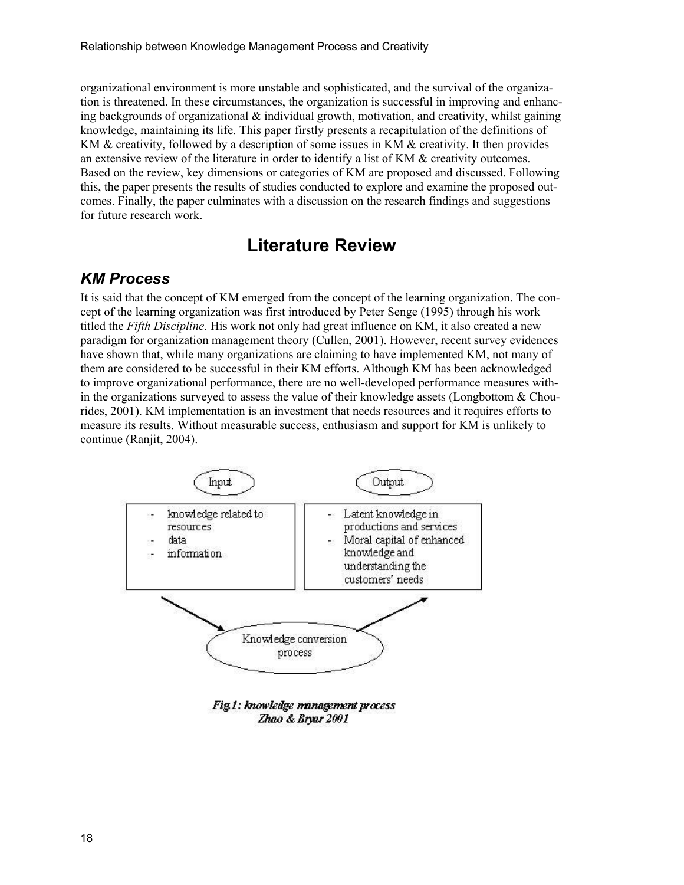organizational environment is more unstable and sophisticated, and the survival of the organization is threatened. In these circumstances, the organization is successful in improving and enhancing backgrounds of organizational  $\&$  individual growth, motivation, and creativity, whilst gaining knowledge, maintaining its life. This paper firstly presents a recapitulation of the definitions of KM & creativity, followed by a description of some issues in KM & creativity. It then provides an extensive review of the literature in order to identify a list of KM & creativity outcomes. Based on the review, key dimensions or categories of KM are proposed and discussed. Following this, the paper presents the results of studies conducted to explore and examine the proposed outcomes. Finally, the paper culminates with a discussion on the research findings and suggestions for future research work.

### **Literature Review**

#### *KM Process*

It is said that the concept of KM emerged from the concept of the learning organization. The concept of the learning organization was first introduced by Peter Senge (1995) through his work titled the *Fifth Discipline*. His work not only had great influence on KM, it also created a new paradigm for organization management theory (Cullen, 2001). However, recent survey evidences have shown that, while many organizations are claiming to have implemented KM, not many of them are considered to be successful in their KM efforts. Although KM has been acknowledged to improve organizational performance, there are no well-developed performance measures within the organizations surveyed to assess the value of their knowledge assets (Longbottom  $\&$  Chourides, 2001). KM implementation is an investment that needs resources and it requires efforts to measure its results. Without measurable success, enthusiasm and support for KM is unlikely to continue (Ranjit, 2004).



Fig.1: knowledge management process Zhao & Bryar 2001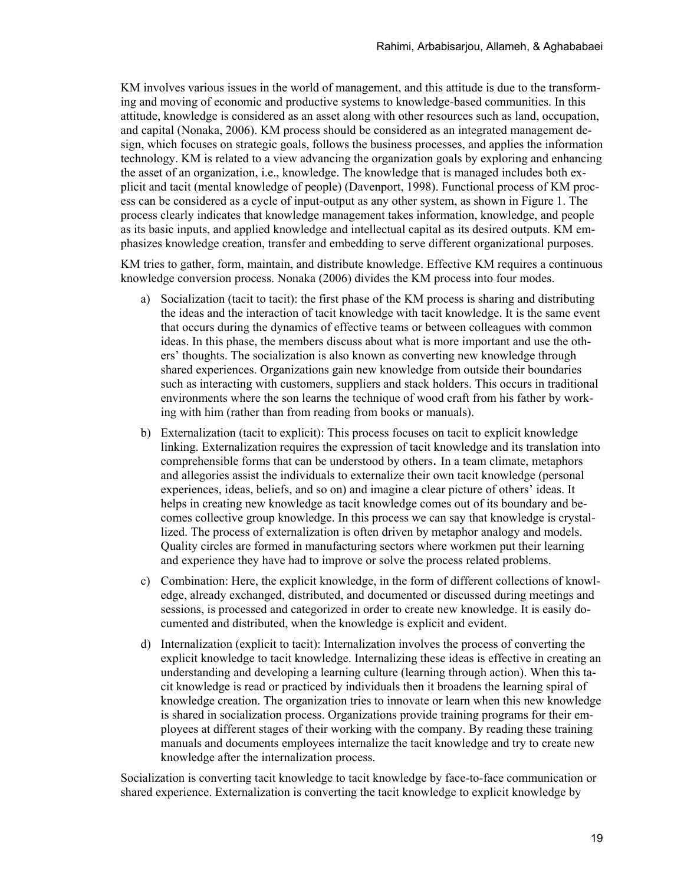KM involves various issues in the world of management, and this attitude is due to the transforming and moving of economic and productive systems to knowledge-based communities. In this attitude, knowledge is considered as an asset along with other resources such as land, occupation, and capital (Nonaka, 2006). KM process should be considered as an integrated management design, which focuses on strategic goals, follows the business processes, and applies the information technology. KM is related to a view advancing the organization goals by exploring and enhancing the asset of an organization, i.e., knowledge. The knowledge that is managed includes both explicit and tacit (mental knowledge of people) (Davenport, 1998). Functional process of KM process can be considered as a cycle of input-output as any other system, as shown in Figure 1. The process clearly indicates that knowledge management takes information, knowledge, and people as its basic inputs, and applied knowledge and intellectual capital as its desired outputs. KM emphasizes knowledge creation, transfer and embedding to serve different organizational purposes.

KM tries to gather, form, maintain, and distribute knowledge. Effective KM requires a continuous knowledge conversion process. Nonaka (2006) divides the KM process into four modes.

- a) Socialization (tacit to tacit): the first phase of the KM process is sharing and distributing the ideas and the interaction of tacit knowledge with tacit knowledge. It is the same event that occurs during the dynamics of effective teams or between colleagues with common ideas. In this phase, the members discuss about what is more important and use the others' thoughts. The socialization is also known as converting new knowledge through shared experiences. Organizations gain new knowledge from outside their boundaries such as interacting with customers, suppliers and stack holders. This occurs in traditional environments where the son learns the technique of wood craft from his father by working with him (rather than from reading from books or manuals).
- b) Externalization (tacit to explicit): This process focuses on [tacit](http://www.allkm.com/km-basics/tacit-knowledge.php) to [explicit knowledge](http://www.allkm.com/km-basics/explicit-knowledge.php) linking. Externalization requires the expression of [tacit knowledge](http://www.cyberartsweb.org/cpace/ht/thonglipfei/tacit_explicit.html#tacit) and its translation into comprehensible forms that can be understood by others. In a team climate, metaphors and allegories assist the individuals to externalize their own tacit knowledge (personal experiences, ideas, beliefs, and so on) and imagine a clear picture of others' ideas. It helps in creating new knowledge as tacit knowledge comes out of its boundary and becomes collective group knowledge. In this process we can say that knowledge is crystallized. The process of externalization is often driven by metaphor analogy and models. Quality circles are formed in manufacturing sectors where workmen put their learning and experience they have had to improve or solve the process related problems.
- c) Combination: Here, the explicit knowledge, in the form of different collections of knowledge, already exchanged, distributed, and documented or discussed during meetings and sessions, is processed and categorized in order to create new knowledge. It is easily documented and distributed, when the knowledge is explicit and evident.
- d) Internalization (explicit to tacit): Internalization involves the process of converting the explicit knowledge to tacit knowledge. Internalizing these ideas is effective in creating an understanding and developing a learning culture (learning through action). When this tacit knowledge is read or practiced by individuals then it broadens the learning spiral of knowledge creation. The organization tries to innovate or learn when this new knowledge is shared in socialization process. Organizations provide training programs for their employees at different stages of their working with the company. By reading these training manuals and documents employees internalize the tacit knowledge and try to create new knowledge after the internalization process.

Socialization is converting tacit knowledge to tacit knowledge by face-to-face communication or shared experience. Externalization is converting the tacit knowledge to explicit knowledge by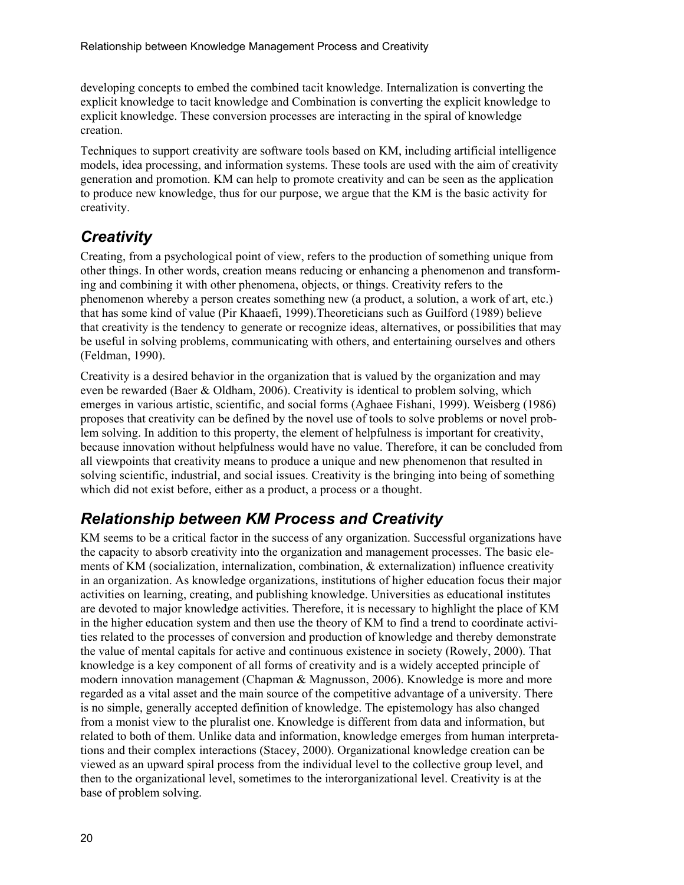developing concepts to embed the combined tacit knowledge. Internalization is converting the explicit knowledge to tacit knowledge and Combination is converting the explicit knowledge to explicit knowledge. These conversion processes are interacting in the spiral of knowledge creation.

Techniques to support creativity are software tools based on KM, including artificial intelligence models, idea processing, and information systems. These tools are used with the aim of creativity generation and promotion. KM can help to promote creativity and can be seen as the application to produce new knowledge, thus for our purpose, we argue that the KM is the basic activity for creativity.

### *Creativity*

Creating, from a psychological point of view, refers to the production of something unique from other things. In other words, creation means reducing or enhancing a phenomenon and transforming and combining it with other phenomena, objects, or things. Creativity refers to the phenomenon whereby a person creates something new (a product, a solution, a work of art, etc.) that has some kind of value (Pir Khaaefi, 1999).Theoreticians such as Guilford (1989) believe that creativity is the tendency to generate or recognize ideas, alternatives, or possibilities that may be useful in solving problems, communicating with others, and entertaining ourselves and others (Feldman, 1990).

Creativity is a desired behavior in the organization that is valued by the organization and may even be rewarded (Baer & Oldham, 2006). Creativity is identical to problem solving, which emerges in various artistic, scientific, and social forms (Aghaee Fishani, 1999). Weisberg (1986) proposes that creativity can be defined by the novel use of tools to solve problems or novel problem solving. In addition to this property, the element of helpfulness is important for creativity, because innovation without helpfulness would have no value. Therefore, it can be concluded from all viewpoints that creativity means to produce a unique and new phenomenon that resulted in solving scientific, industrial, and social issues. Creativity is the bringing into being of something which did not exist before, either as a product, a process or a thought.

### *Relationship between KM Process and Creativity*

KM seems to be a critical factor in the success of any organization. Successful organizations have the capacity to absorb creativity into the organization and management processes. The basic elements of KM (socialization, internalization, combination, & externalization) influence creativity in an organization. As knowledge organizations, institutions of higher education focus their major activities on learning, creating, and publishing knowledge. Universities as educational institutes are devoted to major knowledge activities. Therefore, it is necessary to highlight the place of KM in the higher education system and then use the theory of KM to find a trend to coordinate activities related to the processes of conversion and production of knowledge and thereby demonstrate the value of mental capitals for active and continuous existence in society (Rowely, 2000). That knowledge is a key component of all forms of creativity and is a widely accepted principle of modern innovation management (Chapman & Magnusson, 2006). Knowledge is more and more regarded as a vital asset and the main source of the competitive advantage of a university. There is no simple, generally accepted definition of knowledge. The epistemology has also changed from a monist view to the pluralist one. Knowledge is different from data and information, but related to both of them. Unlike data and information, knowledge emerges from human interpretations and their complex interactions (Stacey, 2000). Organizational knowledge creation can be viewed as an upward spiral process from the individual level to the collective group level, and then to the organizational level, sometimes to the interorganizational level. Creativity is at the base of problem solving.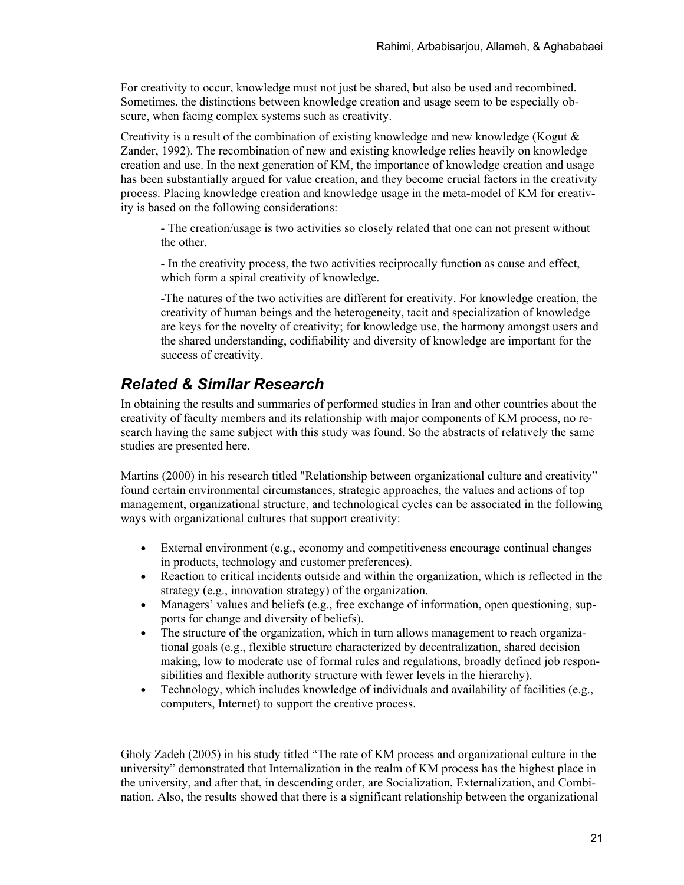For creativity to occur, knowledge must not just be shared, but also be used and recombined. Sometimes, the distinctions between knowledge creation and usage seem to be especially obscure, when facing complex systems such as creativity.

Creativity is a result of the combination of existing knowledge and new knowledge (Kogut  $\&$ Zander, 1992). The recombination of new and existing knowledge relies heavily on knowledge creation and use. In the next generation of KM, the importance of knowledge creation and usage has been substantially argued for value creation, and they become crucial factors in the creativity process. Placing knowledge creation and knowledge usage in the meta-model of KM for creativity is based on the following considerations:

- The creation/usage is two activities so closely related that one can not present without the other.

- In the creativity process, the two activities reciprocally function as cause and effect, which form a spiral creativity of knowledge.

-The natures of the two activities are different for creativity. For knowledge creation, the creativity of human beings and the heterogeneity, tacit and specialization of knowledge are keys for the novelty of creativity; for knowledge use, the harmony amongst users and the shared understanding, codifiability and diversity of knowledge are important for the success of creativity.

#### *Related & Similar Research*

In obtaining the results and summaries of performed studies in Iran and other countries about the creativity of faculty members and its relationship with major components of KM process, no research having the same subject with this study was found. So the abstracts of relatively the same studies are presented here.

Martins (2000) in his research titled "Relationship between organizational culture and creativity" found certain environmental circumstances, strategic approaches, the values and actions of top management, organizational structure, and technological cycles can be associated in the following ways with organizational cultures that support creativity:

- External environment (e.g., economy and competitiveness encourage continual changes in products, technology and customer preferences).
- Reaction to critical incidents outside and within the organization, which is reflected in the strategy (e.g., innovation strategy) of the organization.
- Managers' values and beliefs (e.g., free exchange of information, open questioning, supports for change and diversity of beliefs).
- The structure of the organization, which in turn allows management to reach organizational goals (e.g., flexible structure characterized by decentralization, shared decision making, low to moderate use of formal rules and regulations, broadly defined job responsibilities and flexible authority structure with fewer levels in the hierarchy).
- Technology, which includes knowledge of individuals and availability of facilities (e.g., computers, Internet) to support the creative process.

Gholy Zadeh (2005) in his study titled "The rate of KM process and organizational culture in the university" demonstrated that Internalization in the realm of KM process has the highest place in the university, and after that, in descending order, are Socialization, Externalization, and Combination. Also, the results showed that there is a significant relationship between the organizational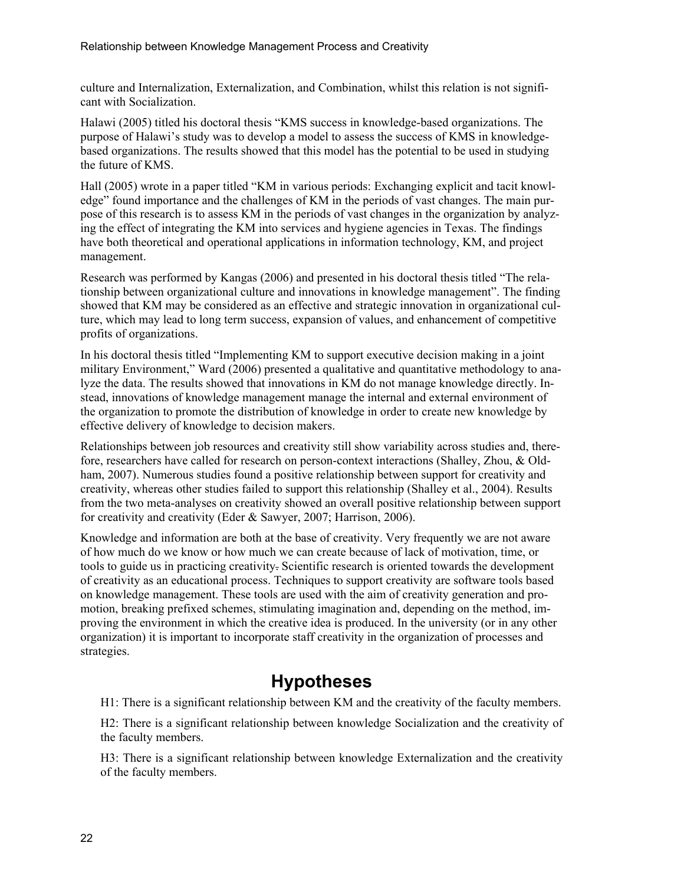culture and Internalization, Externalization, and Combination, whilst this relation is not significant with Socialization.

Halawi (2005) titled his doctoral thesis "KMS success in knowledge-based organizations. The purpose of Halawi's study was to develop a model to assess the success of KMS in knowledgebased organizations. The results showed that this model has the potential to be used in studying the future of KMS.

Hall (2005) wrote in a paper titled "KM in various periods: Exchanging explicit and tacit knowledge" found importance and the challenges of KM in the periods of vast changes. The main purpose of this research is to assess KM in the periods of vast changes in the organization by analyzing the effect of integrating the KM into services and hygiene agencies in Texas. The findings have both theoretical and operational applications in information technology, KM, and project management.

Research was performed by Kangas (2006) and presented in his doctoral thesis titled "The relationship between organizational culture and innovations in knowledge management". The finding showed that KM may be considered as an effective and strategic innovation in organizational culture, which may lead to long term success, expansion of values, and enhancement of competitive profits of organizations.

In his doctoral thesis titled "Implementing KM to support executive decision making in a joint military Environment," Ward (2006) presented a qualitative and quantitative methodology to analyze the data. The results showed that innovations in KM do not manage knowledge directly. Instead, innovations of knowledge management manage the internal and external environment of the organization to promote the distribution of knowledge in order to create new knowledge by effective delivery of knowledge to decision makers.

Relationships between job resources and creativity still show variability across studies and, therefore, researchers have called for research on person-context interactions (Shalley, Zhou, & Oldham, 2007). Numerous studies found a positive relationship between support for creativity and creativity, whereas other studies failed to support this relationship (Shalley et al., 2004). Results from the two meta-analyses on creativity showed an overall positive relationship between support for creativity and creativity (Eder & Sawyer, 2007; Harrison, 2006).

Knowledge and information are both at the base of creativity. Very frequently we are not aware of how much do we know or how much we can create because of lack of motivation, time, or tools to guide us in practicing creativity. Scientific research is oriented towards the development of creativity as an educational process. Techniques to support creativity are software tools based on knowledge management. These tools are used with the aim of creativity generation and promotion, breaking prefixed schemes, stimulating imagination and, depending on the method, improving the environment in which the creative idea is produced. In the university (or in any other organization) it is important to incorporate staff creativity in the organization of processes and strategies.

### **Hypotheses**

H1: There is a significant relationship between KM and the creativity of the faculty members.

H2: There is a significant relationship between knowledge Socialization and the creativity of the faculty members.

H3: There is a significant relationship between knowledge Externalization and the creativity of the faculty members.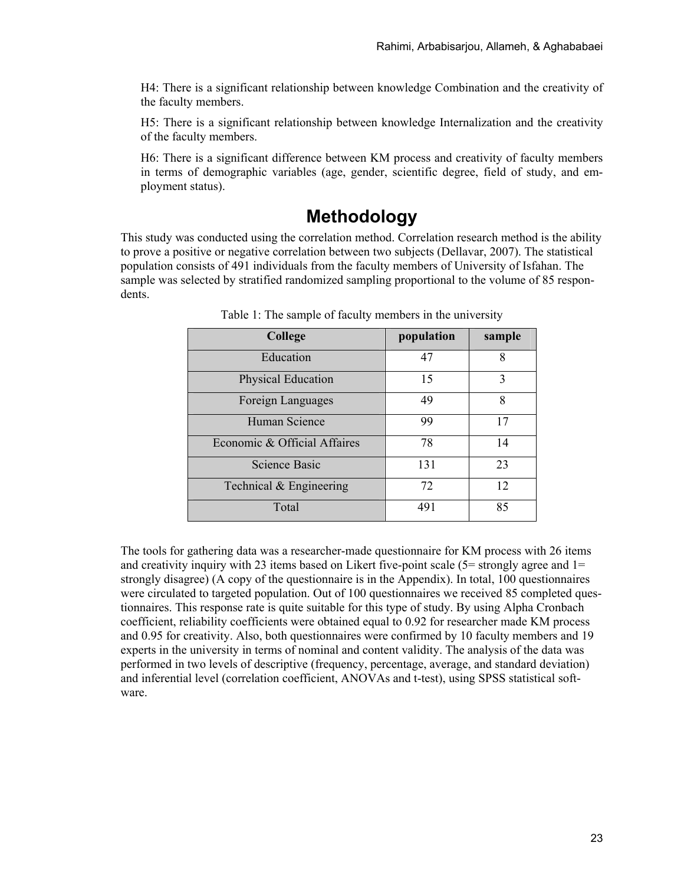H4: There is a significant relationship between knowledge Combination and the creativity of the faculty members.

H5: There is a significant relationship between knowledge Internalization and the creativity of the faculty members.

H6: There is a significant difference between KM process and creativity of faculty members in terms of demographic variables (age, gender, scientific degree, field of study, and employment status).

### **Methodology**

This study was conducted using the correlation method. Correlation research method is the ability to prove a positive or negative correlation between two subjects (Dellavar, 2007). The statistical population consists of 491 individuals from the faculty members of University of Isfahan. The sample was selected by stratified randomized sampling proportional to the volume of 85 respondents.

| College                      | population | sample |
|------------------------------|------------|--------|
| Education                    | 47         | 8      |
| Physical Education           | 15         | 3      |
| Foreign Languages            | 49         | 8      |
| Human Science                | 99         | 17     |
| Economic & Official Affaires | 78         | 14     |
| <b>Science Basic</b>         | 131        | 23     |
| Technical & Engineering      | 72         | 12     |
| Total                        | 491        | 85     |

Table 1: The sample of faculty members in the university

The tools for gathering data was a researcher-made questionnaire for KM process with 26 items and creativity inquiry with 23 items based on Likert five-point scale  $(5=$  strongly agree and  $1=$ strongly disagree) (A copy of the questionnaire is in the Appendix). In total, 100 questionnaires were circulated to targeted population. Out of 100 questionnaires we received 85 completed questionnaires. This response rate is quite suitable for this type of study. By using Alpha Cronbach coefficient, reliability coefficients were obtained equal to 0.92 for researcher made KM process and 0.95 for creativity. Also, both questionnaires were confirmed by 10 faculty members and 19 experts in the university in terms of nominal and content validity. The analysis of the data was performed in two levels of descriptive (frequency, percentage, average, and standard deviation) and inferential level (correlation coefficient, ANOVAs and t-test), using SPSS statistical software.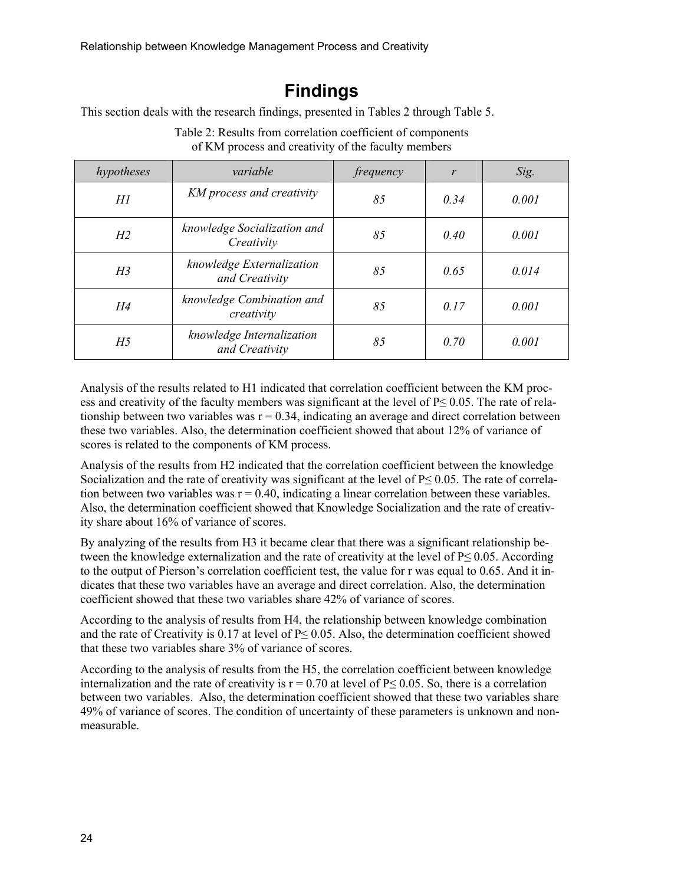## **Findings**

This section deals with the research findings, presented in Tables 2 through Table 5.

| hypotheses                                                  | variable                                    | frequency | $\mathbf{r}$ | Sig.  |
|-------------------------------------------------------------|---------------------------------------------|-----------|--------------|-------|
| HI                                                          | KM process and creativity                   | 85        | 0.34         | 0.001 |
| knowledge Socialization and<br>H <sub>2</sub><br>Creativity |                                             | 85        | 0.40         | 0.001 |
| H <sub>3</sub>                                              | knowledge Externalization<br>and Creativity | 85        | 0.65         | 0.014 |
| H4                                                          | knowledge Combination and<br>creativity     | 85        | 0.17         | 0.001 |
| H <sub>5</sub>                                              | knowledge Internalization<br>and Creativity | 85        | 0.70         | 0.001 |

Table 2: Results from correlation coefficient of components of KM process and creativity of the faculty members

Analysis of the results related to H1 indicated that correlation coefficient between the KM process and creativity of the faculty members was significant at the level of P≤ 0.05. The rate of relationship between two variables was  $r = 0.34$ , indicating an average and direct correlation between these two variables. Also, the determination coefficient showed that about 12% of variance of scores is related to the components of KM process.

Analysis of the results from H2 indicated that the correlation coefficient between the knowledge Socialization and the rate of creativity was significant at the level of P≤ 0.05. The rate of correlation between two variables was  $r = 0.40$ , indicating a linear correlation between these variables. Also, the determination coefficient showed that Knowledge Socialization and the rate of creativity share about 16% of variance of scores.

By analyzing of the results from H3 it became clear that there was a significant relationship between the knowledge externalization and the rate of creativity at the level of  $P \le 0.05$ . According to the output of Pierson's correlation coefficient test, the value for r was equal to 0.65. And it indicates that these two variables have an average and direct correlation. Also, the determination coefficient showed that these two variables share 42% of variance of scores.

According to the analysis of results from H4, the relationship between knowledge combination and the rate of Creativity is 0.17 at level of P≤ 0.05. Also, the determination coefficient showed that these two variables share 3% of variance of scores.

According to the analysis of results from the H5, the correlation coefficient between knowledge internalization and the rate of creativity is  $r = 0.70$  at level of P $\leq 0.05$ . So, there is a correlation between two variables. Also, the determination coefficient showed that these two variables share 49% of variance of scores. The condition of uncertainty of these parameters is unknown and nonmeasurable.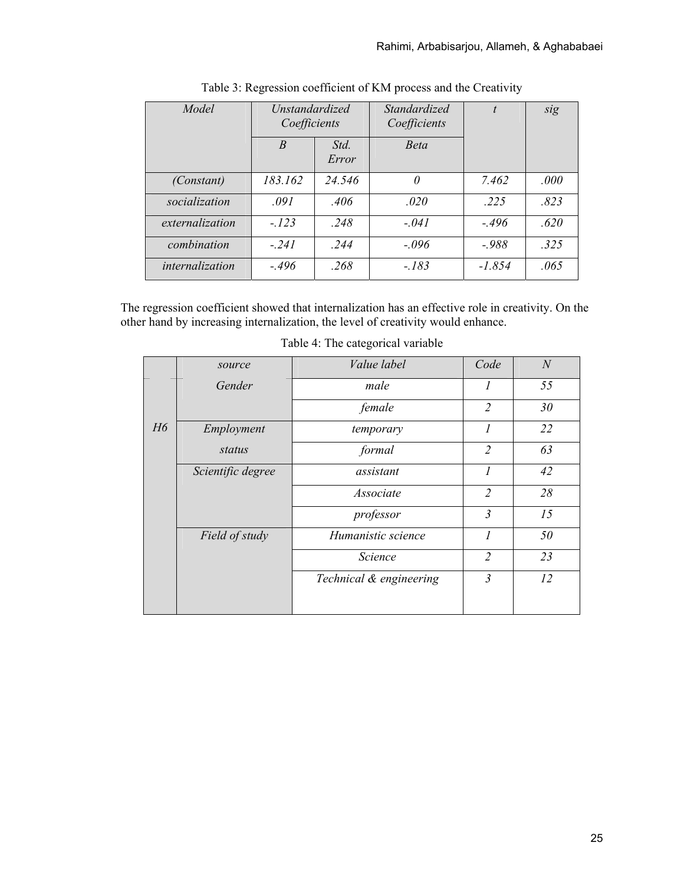| Model           | <i>Unstandardized</i><br>Coefficients |               | Standardized<br>Coefficients | $\boldsymbol{t}$ | sig  |
|-----------------|---------------------------------------|---------------|------------------------------|------------------|------|
|                 | $\overline{B}$                        | Std.<br>Error | <b>Beta</b>                  |                  |      |
| (Constant)      | 183.162                               | 24.546        | 0                            | 7.462            | .000 |
| socialization   | .091                                  | .406          | .020                         | .225             | .823 |
| externalization | $-.123$                               | .248          | $-.041$                      | $-496$           | .620 |
| combination     | $-.241$                               | .244          | $-.096$                      | $-988$           | .325 |
| internalization | $-.496$                               | .268          | $-.183$                      | $-1.854$         | .065 |

Table 3: Regression coefficient of KM process and the Creativity

The regression coefficient showed that internalization has an effective role in creativity. On the other hand by increasing internalization, the level of creativity would enhance.

|                | source            | Value label             | Code           | $\mathcal{N}$ |
|----------------|-------------------|-------------------------|----------------|---------------|
|                | Gender            | male                    | 1              | 55            |
|                |                   | female                  | $\overline{2}$ | 30            |
| H <sub>6</sub> | Employment        | temporary               | $\overline{I}$ | 22            |
|                | status            | formal                  | $\overline{2}$ | 63            |
|                | Scientific degree | assistant               | 1              | 42            |
|                |                   | Associate               | $\overline{2}$ | 28            |
|                |                   | professor               | $\mathfrak{Z}$ | 15            |
|                | Field of study    | Humanistic science      | $\overline{I}$ | 50            |
|                |                   | <b>Science</b>          | $\overline{2}$ | 23            |
|                |                   | Technical & engineering | $\mathfrak{Z}$ | 12            |
|                |                   |                         |                |               |

Table 4: The categorical variable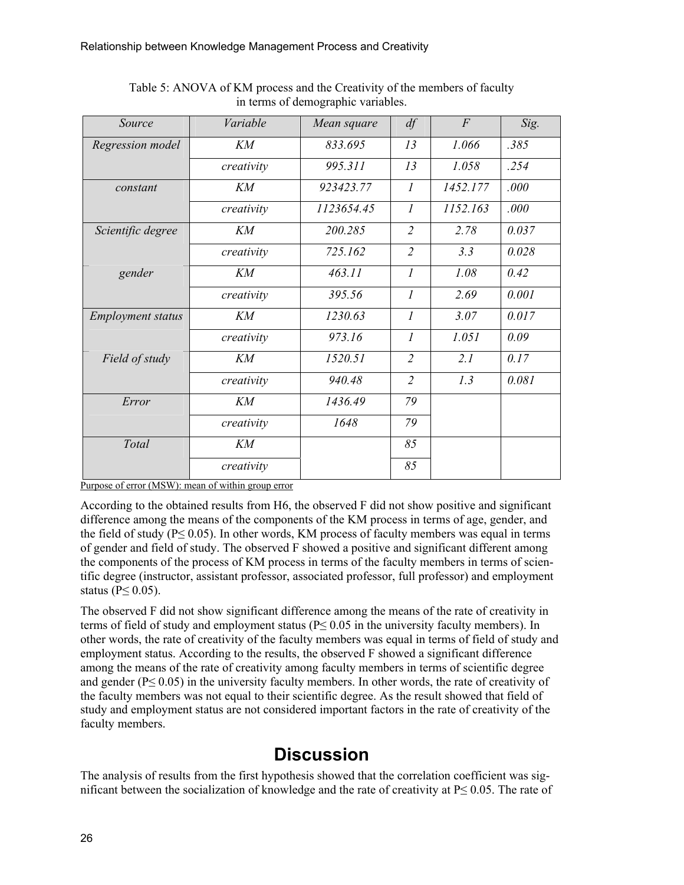| Source                   | Variable   | Mean square | df                          | $\overline{F}$ | Sig.  |
|--------------------------|------------|-------------|-----------------------------|----------------|-------|
| Regression model         | KM         | 833.695     | 13                          | 1.066          | .385  |
|                          | creativity | 995.311     | 13                          | 1.058          | .254  |
| constant                 | KM         | 923423.77   | $\mathcal{I}_{\mathcal{I}}$ | 1452.177       | .000  |
|                          | creativity | 1123654.45  | $\mathcal{I}$               | 1152.163       | .000  |
| Scientific degree        | KМ         | 200.285     | $\overline{2}$              | 2.78           | 0.037 |
|                          | creativity | 725.162     | $\overline{2}$              | 3.3            | 0.028 |
| gender                   | KM         | 463.11      | $\mathfrak{I}$              | 1.08           | 0.42  |
|                          | creativity | 395.56      | $\mathcal{I}_{\mathcal{I}}$ | 2.69           | 0.001 |
| <b>Employment status</b> | KM         | 1230.63     | $\mathfrak{I}$              | 3.07           | 0.017 |
|                          | creativity | 973.16      | $\mathcal{I}$               | 1.051          | 0.09  |
| Field of study           | KM         | 1520.51     | $\overline{2}$              | 2.1            | 0.17  |
|                          | creativity | 940.48      | 2                           | 1.3            | 0.081 |
| Error                    | KM         | 1436.49     | 79                          |                |       |
|                          | creativity | 1648        | 79                          |                |       |
| Total                    | KM         |             | 85                          |                |       |
|                          | creativity |             | 85                          |                |       |

Table 5: ANOVA of KM process and the Creativity of the members of faculty in terms of demographic variables.

Purpose of error (MSW): mean of within group error

According to the obtained results from H6, the observed F did not show positive and significant difference among the means of the components of the KM process in terms of age, gender, and the field of study ( $P \le 0.05$ ). In other words, KM process of faculty members was equal in terms of gender and field of study. The observed F showed a positive and significant different among the components of the process of KM process in terms of the faculty members in terms of scientific degree (instructor, assistant professor, associated professor, full professor) and employment status ( $P \leq 0.05$ ).

The observed F did not show significant difference among the means of the rate of creativity in terms of field of study and employment status ( $P \le 0.05$  in the university faculty members). In other words, the rate of creativity of the faculty members was equal in terms of field of study and employment status. According to the results, the observed F showed a significant difference among the means of the rate of creativity among faculty members in terms of scientific degree and gender ( $P \le 0.05$ ) in the university faculty members. In other words, the rate of creativity of the faculty members was not equal to their scientific degree. As the result showed that field of study and employment status are not considered important factors in the rate of creativity of the faculty members.

### **Discussion**

The analysis of results from the first hypothesis showed that the correlation coefficient was significant between the socialization of knowledge and the rate of creativity at P≤ 0.05. The rate of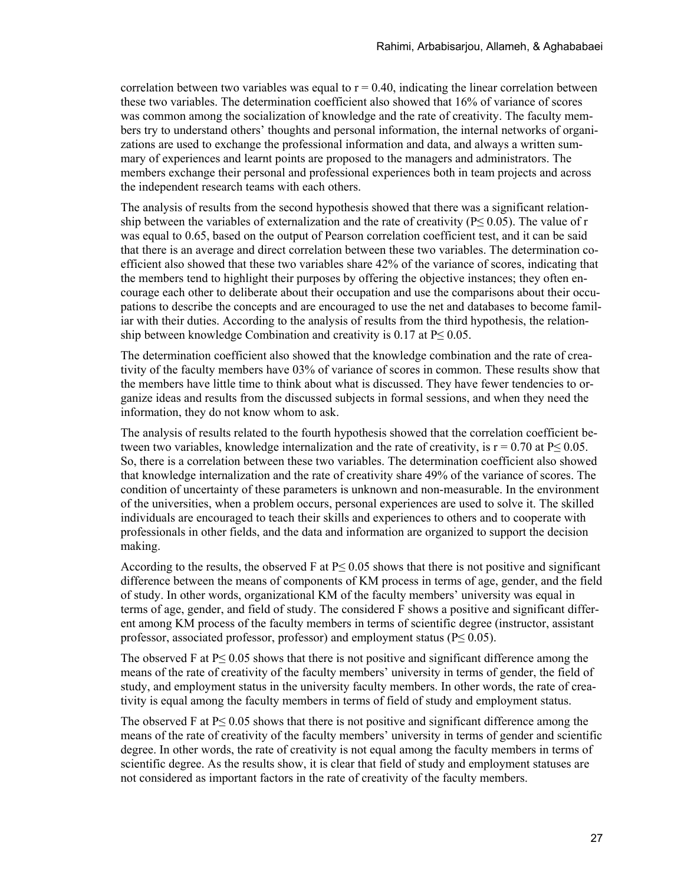correlation between two variables was equal to  $r = 0.40$ , indicating the linear correlation between these two variables. The determination coefficient also showed that 16% of variance of scores was common among the socialization of knowledge and the rate of creativity. The faculty members try to understand others' thoughts and personal information, the internal networks of organizations are used to exchange the professional information and data, and always a written summary of experiences and learnt points are proposed to the managers and administrators. The members exchange their personal and professional experiences both in team projects and across the independent research teams with each others.

The analysis of results from the second hypothesis showed that there was a significant relationship between the variables of externalization and the rate of creativity (P≤ 0.05). The value of r was equal to 0.65, based on the output of Pearson correlation coefficient test, and it can be said that there is an average and direct correlation between these two variables. The determination coefficient also showed that these two variables share 42% of the variance of scores, indicating that the members tend to highlight their purposes by offering the objective instances; they often encourage each other to deliberate about their occupation and use the comparisons about their occupations to describe the concepts and are encouraged to use the net and databases to become familiar with their duties. According to the analysis of results from the third hypothesis, the relationship between knowledge Combination and creativity is  $0.17$  at  $P \leq 0.05$ .

The determination coefficient also showed that the knowledge combination and the rate of creativity of the faculty members have 03% of variance of scores in common. These results show that the members have little time to think about what is discussed. They have fewer tendencies to organize ideas and results from the discussed subjects in formal sessions, and when they need the information, they do not know whom to ask.

The analysis of results related to the fourth hypothesis showed that the correlation coefficient between two variables, knowledge internalization and the rate of creativity, is  $r = 0.70$  at P $\leq 0.05$ . So, there is a correlation between these two variables. The determination coefficient also showed that knowledge internalization and the rate of creativity share 49% of the variance of scores. The condition of uncertainty of these parameters is unknown and non-measurable. In the environment of the universities, when a problem occurs, personal experiences are used to solve it. The skilled individuals are encouraged to teach their skills and experiences to others and to cooperate with professionals in other fields, and the data and information are organized to support the decision making.

According to the results, the observed F at  $P \le 0.05$  shows that there is not positive and significant difference between the means of components of KM process in terms of age, gender, and the field of study. In other words, organizational KM of the faculty members' university was equal in terms of age, gender, and field of study. The considered F shows a positive and significant different among KM process of the faculty members in terms of scientific degree (instructor, assistant professor, associated professor, professor) and employment status ( $P \leq 0.05$ ).

The observed F at  $P \le 0.05$  shows that there is not positive and significant difference among the means of the rate of creativity of the faculty members' university in terms of gender, the field of study, and employment status in the university faculty members. In other words, the rate of creativity is equal among the faculty members in terms of field of study and employment status.

The observed F at  $P \le 0.05$  shows that there is not positive and significant difference among the means of the rate of creativity of the faculty members' university in terms of gender and scientific degree. In other words, the rate of creativity is not equal among the faculty members in terms of scientific degree. As the results show, it is clear that field of study and employment statuses are not considered as important factors in the rate of creativity of the faculty members.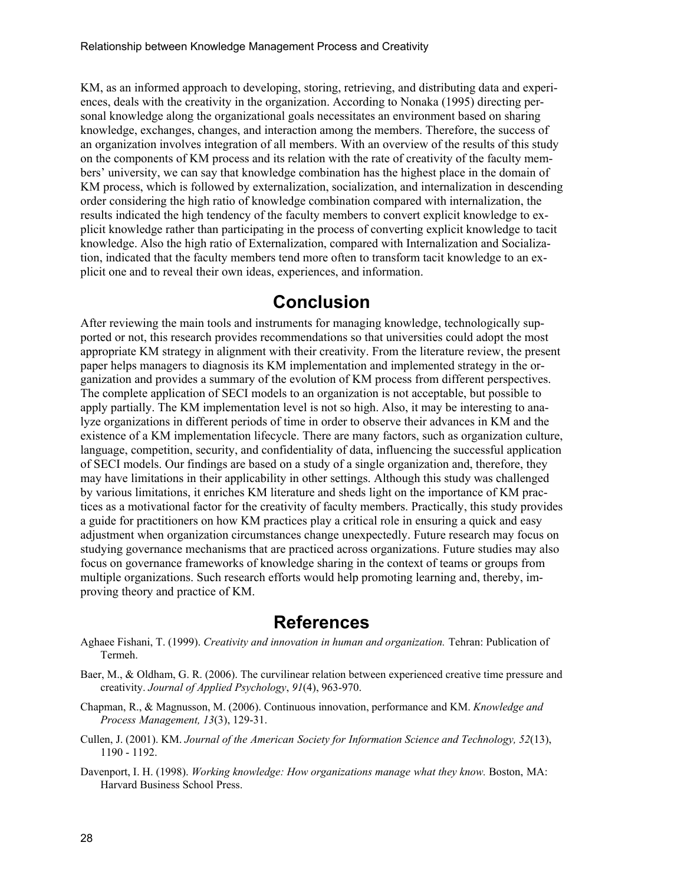KM, as an informed approach to developing, storing, retrieving, and distributing data and experiences, deals with the creativity in the organization. According to Nonaka (1995) directing personal knowledge along the organizational goals necessitates an environment based on sharing knowledge, exchanges, changes, and interaction among the members. Therefore, the success of an organization involves integration of all members. With an overview of the results of this study on the components of KM process and its relation with the rate of creativity of the faculty members' university, we can say that knowledge combination has the highest place in the domain of KM process, which is followed by externalization, socialization, and internalization in descending order considering the high ratio of knowledge combination compared with internalization, the results indicated the high tendency of the faculty members to convert explicit knowledge to explicit knowledge rather than participating in the process of converting explicit knowledge to tacit knowledge. Also the high ratio of Externalization, compared with Internalization and Socialization, indicated that the faculty members tend more often to transform tacit knowledge to an explicit one and to reveal their own ideas, experiences, and information.

#### **Conclusion**

After reviewing the main tools and instruments for managing knowledge, technologically supported or not, this research provides recommendations so that universities could adopt the most appropriate KM strategy in alignment with their creativity. From the literature review, the present paper helps managers to diagnosis its KM implementation and implemented strategy in the organization and provides a summary of the evolution of KM process from different perspectives. The complete application of SECI models to an organization is not acceptable, but possible to apply partially. The KM implementation level is not so high. Also, it may be interesting to analyze organizations in different periods of time in order to observe their advances in KM and the existence of a KM implementation lifecycle. There are many factors, such as organization culture, language, competition, security, and confidentiality of data, influencing the successful application of SECI models. Our findings are based on a study of a single organization and, therefore, they may have limitations in their applicability in other settings. Although this study was challenged by various limitations, it enriches KM literature and sheds light on the importance of KM practices as a motivational factor for the creativity of faculty members. Practically, this study provides a guide for practitioners on how KM practices play a critical role in ensuring a quick and easy adjustment when organization circumstances change unexpectedly. Future research may focus on studying governance mechanisms that are practiced across organizations. Future studies may also focus on governance frameworks of knowledge sharing in the context of teams or groups from multiple organizations. Such research efforts would help promoting learning and, thereby, improving theory and practice of KM.

#### **References**

- Aghaee Fishani, T. (1999). *Creativity and innovation in human and organization.* Tehran: Publication of Termeh.
- Baer, M., & Oldham, G. R. (2006). The curvilinear relation between experienced creative time pressure and creativity. *Journal of Applied Psychology*, *91*(4), 963-970.
- Chapman, R., & Magnusson, M. (2006). Continuous innovation, performance and KM. *Knowledge and Process Management, 13*(3), 129-31.
- Cullen, J. (2001). KM. *Journal of the American Society for Information Science and Technology, 52*(13), 1190 - 1192.
- Davenport, I. H. (1998). *Working knowledge: How organizations manage what they know.* Boston, MA: Harvard Business School Press.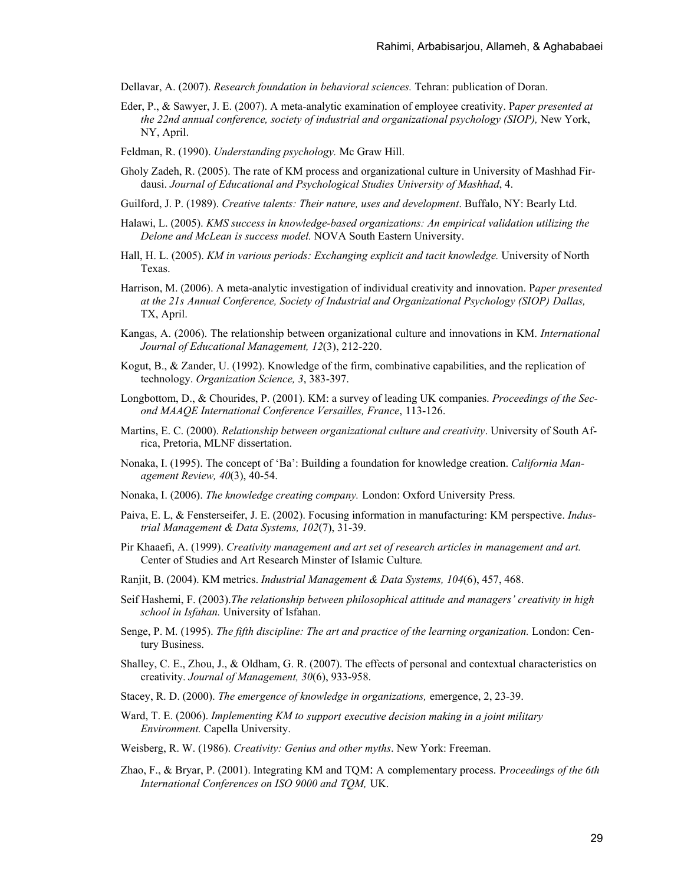- Dellavar, A. (2007). *Research foundation in behavioral sciences.* Tehran: publication of Doran.
- Eder, P., & Sawyer, J. E. (2007). A meta-analytic examination of employee creativity. P*aper presented at the 22nd annual conference, society of industrial and organizational psychology (SIOP),* New York, NY, April.
- Feldman, R. (1990). *Understanding psychology.* Mc Graw Hill.
- Gholy Zadeh, R. (2005). The rate of KM process and organizational culture in University of Mashhad Firdausi. *Journal of Educational and Psychological Studies University of Mashhad*, 4.
- Guilford, J. P. (1989). *Creative talents: Their nature, uses and development*. Buffalo, NY: Bearly Ltd.
- Halawi, L. (2005). *KMS success in knowledge-based organizations: An empirical validation utilizing the Delone and McLean is success model.* NOVA South Eastern University.
- Hall, H. L. (2005). *KM in various periods: Exchanging explicit and tacit knowledge.* University of North Texas.
- Harrison, M. (2006). A meta-analytic investigation of individual creativity and innovation. P*aper presented at the 21s Annual Conference, Society of Industrial and Organizational Psychology (SIOP) Dallas,*  TX, April.
- Kangas, A. (2006). The relationship between organizational culture and innovations in KM. *International Journal of Educational Management, 12*(3), 212-220.
- Kogut, B., & Zander, U. (1992). Knowledge of the firm, combinative capabilities, and the replication of technology. *Organization Science, 3*, 383-397.
- Longbottom, D., & Chourides, P. (2001). KM: a survey of leading UK companies. *Proceedings of the Second MAAQE International Conference Versailles, France*, 113-126.
- Martins, E. C. (2000). *Relationship between organizational culture and creativity*. University of South Africa, Pretoria, MLNF dissertation.
- Nonaka, I. (1995). The concept of 'Ba': Building a foundation for knowledge creation. *California Management Review, 40*(3), 40-54.
- Nonaka, I. (2006). *The knowledge creating company.* London: Oxford University Press.
- Paiva, E. L, & Fensterseifer, J. E. (2002). Focusing information in manufacturing: KM perspective. *Industrial Management & Data Systems, 102*(7), 31-39.
- Pir Khaaefi, A. (1999). *Creativity management and art set of research articles in management and art.*  Center of Studies and Art Research Minster of Islamic Culture*.*
- Ranjit, B. (2004). KM metrics. *Industrial Management & Data Systems, 104*(6), 457, 468.
- Seif Hashemi, F. (2003).*The relationship between philosophical attitude and managers' creativity in high school in Isfahan.* University of Isfahan.
- Senge, P. M. (1995). *The fifth discipline: The art and practice of the learning organization.* London: Century Business.
- Shalley, C. E., Zhou, J., & Oldham, G. R. (2007). The effects of personal and contextual characteristics on creativity. *Journal of Management, 30*(6), 933-958.
- Stacey, R. D. (2000). *The emergence of knowledge in organizations,* emergence, 2, 23-39.
- Ward, T. E. (2006). *Implementing KM to support executive decision making in a joint military Environment.* Capella University.
- Weisberg, R. W. (1986). *Creativity: Genius and other myths*. New York: Freeman.
- Zhao, F., & Bryar, P. (2001). Integrating KM and TQM: A complementary process. P*roceedings of the 6th International Conferences on ISO 9000 and TQM,* UK.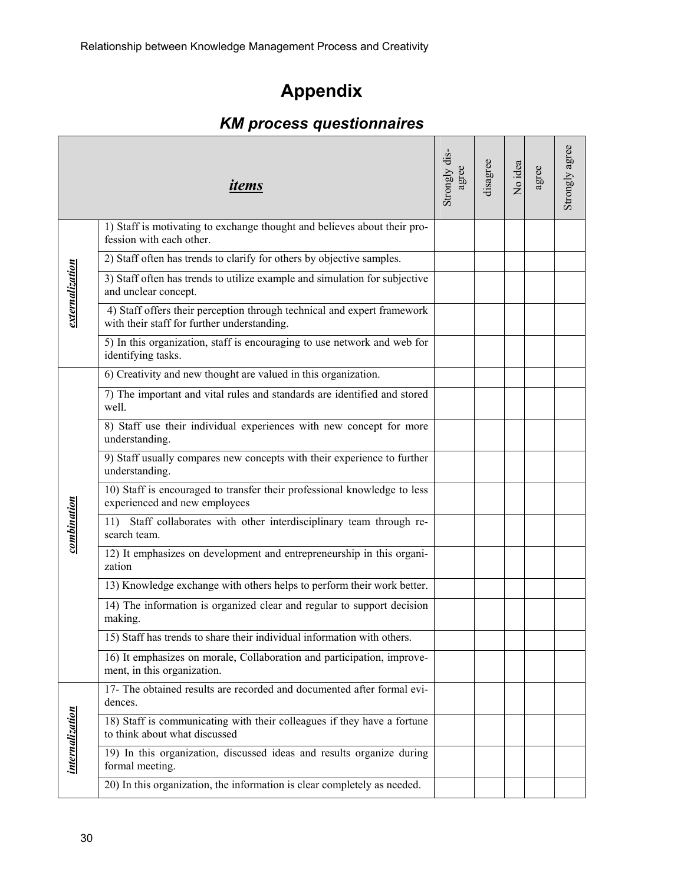# **Appendix**

# *KM process questionnaires*

|                 | items                                                                                                                  | Strongly dis<br>agree | disagree | No idea | agree | Strongly agree |
|-----------------|------------------------------------------------------------------------------------------------------------------------|-----------------------|----------|---------|-------|----------------|
|                 | 1) Staff is motivating to exchange thought and believes about their pro-<br>fession with each other.                   |                       |          |         |       |                |
| externalization | 2) Staff often has trends to clarify for others by objective samples.                                                  |                       |          |         |       |                |
|                 | 3) Staff often has trends to utilize example and simulation for subjective<br>and unclear concept.                     |                       |          |         |       |                |
|                 | 4) Staff offers their perception through technical and expert framework<br>with their staff for further understanding. |                       |          |         |       |                |
|                 | 5) In this organization, staff is encouraging to use network and web for<br>identifying tasks.                         |                       |          |         |       |                |
|                 | 6) Creativity and new thought are valued in this organization.                                                         |                       |          |         |       |                |
|                 | 7) The important and vital rules and standards are identified and stored<br>well.                                      |                       |          |         |       |                |
|                 | 8) Staff use their individual experiences with new concept for more<br>understanding.                                  |                       |          |         |       |                |
|                 | 9) Staff usually compares new concepts with their experience to further<br>understanding.                              |                       |          |         |       |                |
|                 | 10) Staff is encouraged to transfer their professional knowledge to less<br>experienced and new employees              |                       |          |         |       |                |
| combination     | Staff collaborates with other interdisciplinary team through re-<br>11)<br>search team.                                |                       |          |         |       |                |
|                 | 12) It emphasizes on development and entrepreneurship in this organi-<br>zation                                        |                       |          |         |       |                |
|                 | 13) Knowledge exchange with others helps to perform their work better.                                                 |                       |          |         |       |                |
|                 | 14) The information is organized clear and regular to support decision<br>making.                                      |                       |          |         |       |                |
|                 | 15) Staff has trends to share their individual information with others.                                                |                       |          |         |       |                |
|                 | 16) It emphasizes on morale, Collaboration and participation, improve-<br>ment, in this organization.                  |                       |          |         |       |                |
|                 | 17- The obtained results are recorded and documented after formal evi-<br>dences.                                      |                       |          |         |       |                |
| internalization | 18) Staff is communicating with their colleagues if they have a fortune<br>to think about what discussed               |                       |          |         |       |                |
|                 | 19) In this organization, discussed ideas and results organize during<br>formal meeting.                               |                       |          |         |       |                |
|                 | 20) In this organization, the information is clear completely as needed.                                               |                       |          |         |       |                |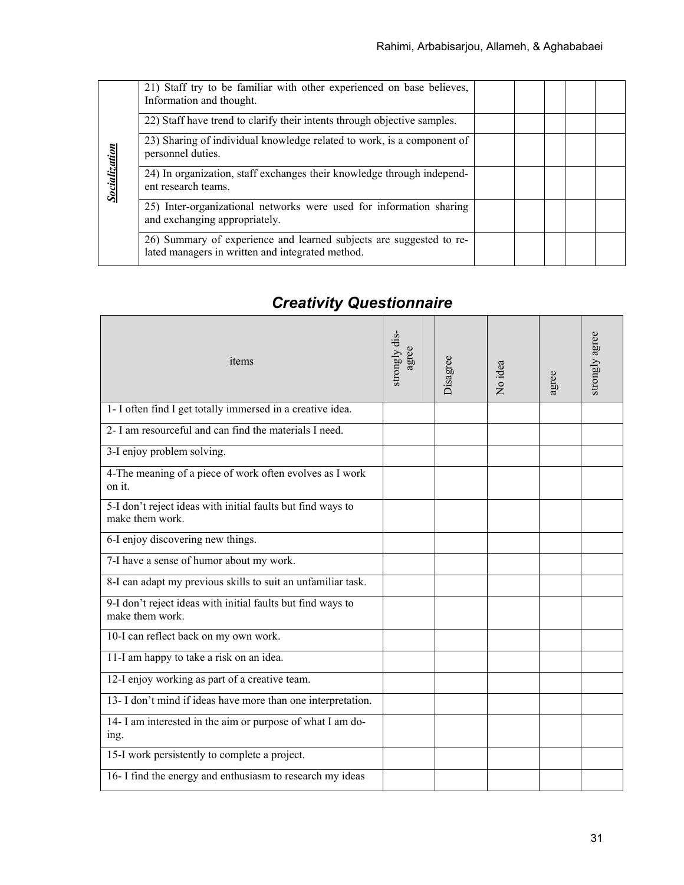|                      | 21) Staff try to be familiar with other experienced on base believes,<br>Information and thought.                       |  |  |  |
|----------------------|-------------------------------------------------------------------------------------------------------------------------|--|--|--|
|                      | 22) Staff have trend to clarify their intents through objective samples.                                                |  |  |  |
|                      | 23) Sharing of individual knowledge related to work, is a component of<br>personnel duties.                             |  |  |  |
| <b>Socialization</b> | 24) In organization, staff exchanges their knowledge through independ-<br>ent research teams.                           |  |  |  |
|                      | 25) Inter-organizational networks were used for information sharing<br>and exchanging appropriately.                    |  |  |  |
|                      | 26) Summary of experience and learned subjects are suggested to re-<br>lated managers in written and integrated method. |  |  |  |

# *Creativity Questionnaire*

| items                                                                          | strongly dis-<br>agree | Disagree | No idea | gree | strongly agree |
|--------------------------------------------------------------------------------|------------------------|----------|---------|------|----------------|
| 1- I often find I get totally immersed in a creative idea.                     |                        |          |         |      |                |
| 2- I am resourceful and can find the materials I need.                         |                        |          |         |      |                |
| 3-I enjoy problem solving.                                                     |                        |          |         |      |                |
| 4-The meaning of a piece of work often evolves as I work<br>on it.             |                        |          |         |      |                |
| 5-I don't reject ideas with initial faults but find ways to<br>make them work. |                        |          |         |      |                |
| 6-I enjoy discovering new things.                                              |                        |          |         |      |                |
| 7-I have a sense of humor about my work.                                       |                        |          |         |      |                |
| 8-I can adapt my previous skills to suit an unfamiliar task.                   |                        |          |         |      |                |
| 9-I don't reject ideas with initial faults but find ways to<br>make them work. |                        |          |         |      |                |
| 10-I can reflect back on my own work.                                          |                        |          |         |      |                |
| 11-I am happy to take a risk on an idea.                                       |                        |          |         |      |                |
| 12-I enjoy working as part of a creative team.                                 |                        |          |         |      |                |
| 13- I don't mind if ideas have more than one interpretation.                   |                        |          |         |      |                |
| 14- I am interested in the aim or purpose of what I am do-<br>ing.             |                        |          |         |      |                |
| 15-I work persistently to complete a project.                                  |                        |          |         |      |                |
| 16- I find the energy and enthusiasm to research my ideas                      |                        |          |         |      |                |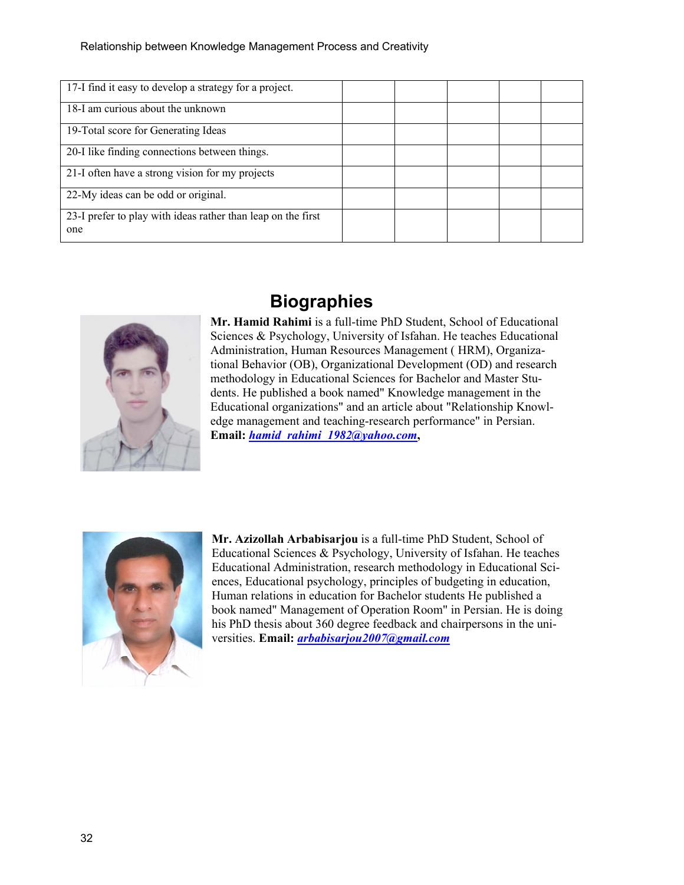| 17-I find it easy to develop a strategy for a project.              |  |  |  |
|---------------------------------------------------------------------|--|--|--|
| 18-I am curious about the unknown                                   |  |  |  |
| 19-Total score for Generating Ideas                                 |  |  |  |
| 20-I like finding connections between things.                       |  |  |  |
| 21-I often have a strong vision for my projects                     |  |  |  |
| 22-My ideas can be odd or original.                                 |  |  |  |
| 23-I prefer to play with ideas rather than leap on the first<br>one |  |  |  |



## **Biographies**

**Mr. Hamid Rahimi** is a full-time PhD Student, School of Educational Sciences & Psychology, University of Isfahan. He teaches Educational Administration, Human Resources Management ( HRM), Organizational Behavior (OB), Organizational Development (OD) and research methodology in Educational Sciences for Bachelor and Master Students. He published a book named" Knowledge management in the Educational organizations" and an article about "Relationship Knowledge management and teaching-research performance" in Persian. **Email:** *[hamid\\_rahimi\\_1982@yahoo.com](mailto:hamid_rahimi_1982@yahoo.com)***,** 



**Mr. Azizollah Arbabisarjou** is a full-time PhD Student, School of Educational Sciences & Psychology, University of Isfahan. He teaches Educational Administration, research methodology in Educational Sciences, Educational psychology, principles of budgeting in education, Human relations in education for Bachelor students He published a book named" Management of Operation Room" in Persian. He is doing his PhD thesis about 360 degree feedback and chairpersons in the universities. **Email:** *[arbabisarjou2007@gmail.com](mailto:arbabisarjou2007@gmail.com)*